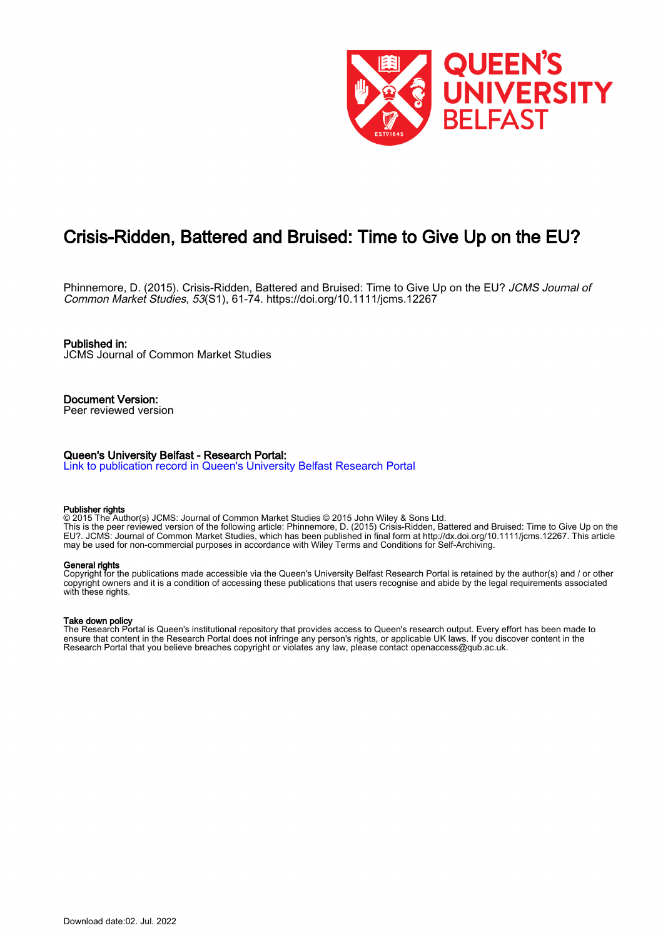

# Crisis-Ridden, Battered and Bruised: Time to Give Up on the EU?

Phinnemore, D. (2015). Crisis-Ridden, Battered and Bruised: Time to Give Up on the EU? JCMS Journal of Common Market Studies, 53(S1), 61-74.<https://doi.org/10.1111/jcms.12267>

Published in: JCMS Journal of Common Market Studies

Document Version: Peer reviewed version

## Queen's University Belfast - Research Portal:

[Link to publication record in Queen's University Belfast Research Portal](https://pure.qub.ac.uk/en/publications/f958be92-60e3-4e06-a692-6d8d4d7c992a)

#### Publisher rights

© 2015 The Author(s) JCMS: Journal of Common Market Studies © 2015 John Wiley & Sons Ltd. This is the peer reviewed version of the following article: Phinnemore, D. (2015) Crisis-Ridden, Battered and Bruised: Time to Give Up on the EU?. JCMS: Journal of Common Market Studies, which has been published in final form at http://dx.doi.org/10.1111/jcms.12267. This article may be used for non-commercial purposes in accordance with Wiley Terms and Conditions for Self-Archiving.

#### General rights

Copyright for the publications made accessible via the Queen's University Belfast Research Portal is retained by the author(s) and / or other copyright owners and it is a condition of accessing these publications that users recognise and abide by the legal requirements associated with these rights.

#### Take down policy

The Research Portal is Queen's institutional repository that provides access to Queen's research output. Every effort has been made to ensure that content in the Research Portal does not infringe any person's rights, or applicable UK laws. If you discover content in the Research Portal that you believe breaches copyright or violates any law, please contact openaccess@qub.ac.uk.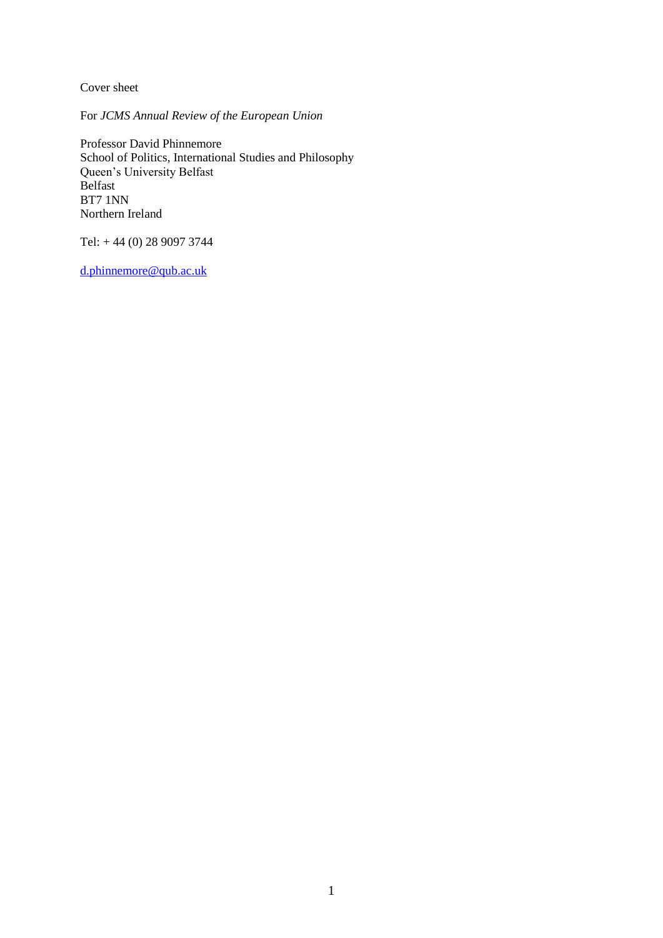Cover sheet

For *JCMS Annual Review of the European Union*

Professor David Phinnemore School of Politics, International Studies and Philosophy Queen's University Belfast Belfast BT7 1NN Northern Ireland

Tel: + 44 (0) 28 9097 3744

[d.phinnemore@qub.ac.uk](file:///C:/Users/Phinnemore/Downloads/d.phinnemore@qub.ac.uk)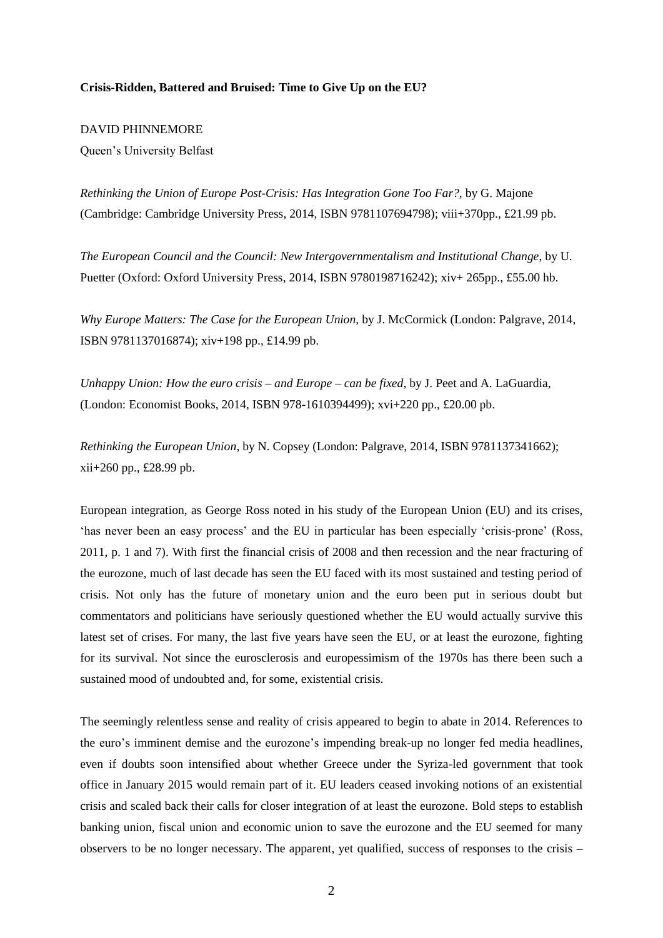# **Crisis-Ridden, Battered and Bruised: Time to Give Up on the EU?**

# DAVID PHINNEMORE

Queen's University Belfast

*Rethinking the Union of Europe Post-Crisis: Has Integration Gone Too Far?*, by G. Majone (Cambridge: Cambridge University Press, 2014, ISBN 9781107694798); viii+370pp., £21.99 pb.

*The European Council and the Council: New Intergovernmentalism and Institutional Change*, by U. Puetter (Oxford: Oxford University Press, 2014, ISBN 9780198716242); xiv+ 265pp., £55.00 hb.

*Why Europe Matters: The Case for the European Union*, by J. McCormick (London: Palgrave, 2014, ISBN 9781137016874); xiv+198 pp., £14.99 pb.

*Unhappy Union: How the euro crisis – and Europe – can be fixed*, by J. Peet and A. LaGuardia, (London: Economist Books, 2014, ISBN 978-1610394499); xvi+220 pp., £20.00 pb.

*Rethinking the European Union*, by N. Copsey (London: Palgrave, 2014, ISBN 9781137341662); xii+260 pp., £28.99 pb.

European integration, as George Ross noted in his study of the European Union (EU) and its crises, 'has never been an easy process' and the EU in particular has been especially 'crisis-prone' (Ross, 2011, p. 1 and 7). With first the financial crisis of 2008 and then recession and the near fracturing of the eurozone, much of last decade has seen the EU faced with its most sustained and testing period of crisis. Not only has the future of monetary union and the euro been put in serious doubt but commentators and politicians have seriously questioned whether the EU would actually survive this latest set of crises. For many, the last five years have seen the EU, or at least the eurozone, fighting for its survival. Not since the eurosclerosis and europessimism of the 1970s has there been such a sustained mood of undoubted and, for some, existential crisis.

The seemingly relentless sense and reality of crisis appeared to begin to abate in 2014. References to the euro's imminent demise and the eurozone's impending break-up no longer fed media headlines, even if doubts soon intensified about whether Greece under the Syriza-led government that took office in January 2015 would remain part of it. EU leaders ceased invoking notions of an existential crisis and scaled back their calls for closer integration of at least the eurozone. Bold steps to establish banking union, fiscal union and economic union to save the eurozone and the EU seemed for many observers to be no longer necessary. The apparent, yet qualified, success of responses to the crisis –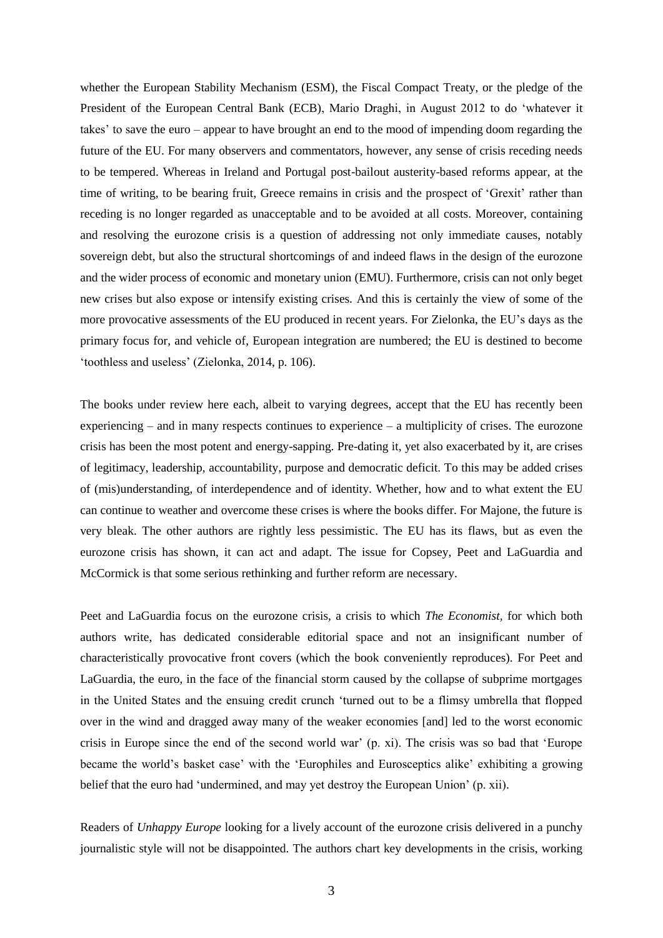whether the European Stability Mechanism (ESM), the Fiscal Compact Treaty, or the pledge of the President of the European Central Bank (ECB), Mario Draghi, in August 2012 to do 'whatever it takes' to save the euro – appear to have brought an end to the mood of impending doom regarding the future of the EU. For many observers and commentators, however, any sense of crisis receding needs to be tempered. Whereas in Ireland and Portugal post-bailout austerity-based reforms appear, at the time of writing, to be bearing fruit, Greece remains in crisis and the prospect of 'Grexit' rather than receding is no longer regarded as unacceptable and to be avoided at all costs. Moreover, containing and resolving the eurozone crisis is a question of addressing not only immediate causes, notably sovereign debt, but also the structural shortcomings of and indeed flaws in the design of the eurozone and the wider process of economic and monetary union (EMU). Furthermore, crisis can not only beget new crises but also expose or intensify existing crises. And this is certainly the view of some of the more provocative assessments of the EU produced in recent years. For Zielonka, the EU's days as the primary focus for, and vehicle of, European integration are numbered; the EU is destined to become 'toothless and useless' (Zielonka, 2014, p. 106).

The books under review here each, albeit to varying degrees, accept that the EU has recently been experiencing – and in many respects continues to experience – a multiplicity of crises. The eurozone crisis has been the most potent and energy-sapping. Pre-dating it, yet also exacerbated by it, are crises of legitimacy, leadership, accountability, purpose and democratic deficit. To this may be added crises of (mis)understanding, of interdependence and of identity. Whether, how and to what extent the EU can continue to weather and overcome these crises is where the books differ. For Majone, the future is very bleak. The other authors are rightly less pessimistic. The EU has its flaws, but as even the eurozone crisis has shown, it can act and adapt. The issue for Copsey, Peet and LaGuardia and McCormick is that some serious rethinking and further reform are necessary.

Peet and LaGuardia focus on the eurozone crisis, a crisis to which *The Economist,* for which both authors write, has dedicated considerable editorial space and not an insignificant number of characteristically provocative front covers (which the book conveniently reproduces). For Peet and LaGuardia, the euro, in the face of the financial storm caused by the collapse of subprime mortgages in the United States and the ensuing credit crunch 'turned out to be a flimsy umbrella that flopped over in the wind and dragged away many of the weaker economies [and] led to the worst economic crisis in Europe since the end of the second world war' (p. xi). The crisis was so bad that 'Europe became the world's basket case' with the 'Europhiles and Eurosceptics alike' exhibiting a growing belief that the euro had 'undermined, and may yet destroy the European Union' (p. xii).

Readers of *Unhappy Europe* looking for a lively account of the eurozone crisis delivered in a punchy journalistic style will not be disappointed. The authors chart key developments in the crisis, working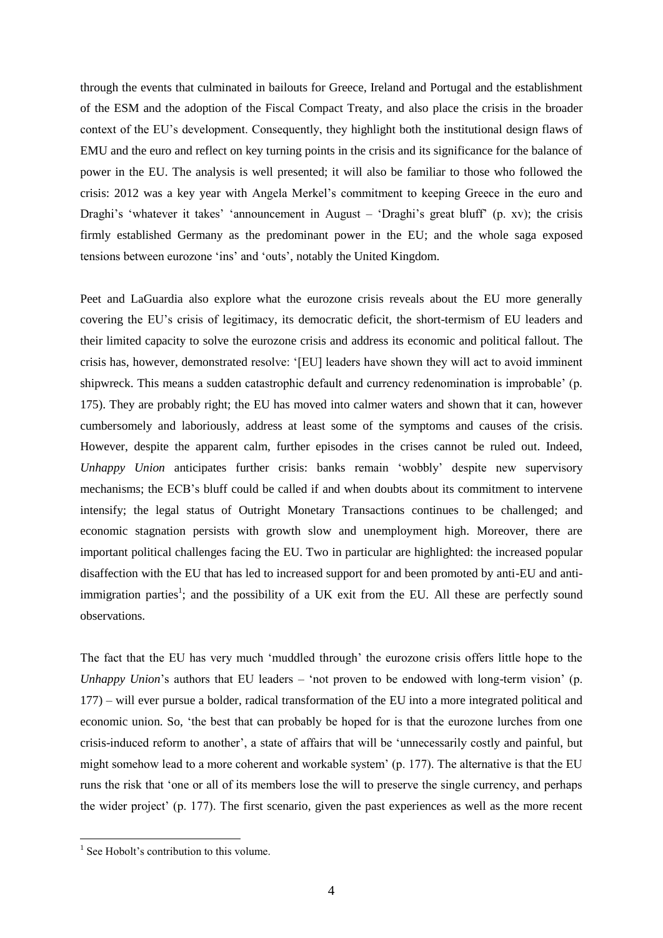through the events that culminated in bailouts for Greece, Ireland and Portugal and the establishment of the ESM and the adoption of the Fiscal Compact Treaty, and also place the crisis in the broader context of the EU's development. Consequently, they highlight both the institutional design flaws of EMU and the euro and reflect on key turning points in the crisis and its significance for the balance of power in the EU. The analysis is well presented; it will also be familiar to those who followed the crisis: 2012 was a key year with Angela Merkel's commitment to keeping Greece in the euro and Draghi's 'whatever it takes' 'announcement in August – 'Draghi's great bluff' (p. xv); the crisis firmly established Germany as the predominant power in the EU; and the whole saga exposed tensions between eurozone 'ins' and 'outs', notably the United Kingdom.

Peet and LaGuardia also explore what the eurozone crisis reveals about the EU more generally covering the EU's crisis of legitimacy, its democratic deficit, the short-termism of EU leaders and their limited capacity to solve the eurozone crisis and address its economic and political fallout. The crisis has, however, demonstrated resolve: '[EU] leaders have shown they will act to avoid imminent shipwreck. This means a sudden catastrophic default and currency redenomination is improbable' (p. 175). They are probably right; the EU has moved into calmer waters and shown that it can, however cumbersomely and laboriously, address at least some of the symptoms and causes of the crisis. However, despite the apparent calm, further episodes in the crises cannot be ruled out. Indeed, *Unhappy Union* anticipates further crisis: banks remain 'wobbly' despite new supervisory mechanisms; the ECB's bluff could be called if and when doubts about its commitment to intervene intensify; the legal status of Outright Monetary Transactions continues to be challenged; and economic stagnation persists with growth slow and unemployment high. Moreover, there are important political challenges facing the EU. Two in particular are highlighted: the increased popular disaffection with the EU that has led to increased support for and been promoted by anti-EU and antiimmigration parties<sup>1</sup>; and the possibility of a UK exit from the EU. All these are perfectly sound observations.

The fact that the EU has very much 'muddled through' the eurozone crisis offers little hope to the *Unhappy Union*'s authors that EU leaders – 'not proven to be endowed with long-term vision' (p. 177) – will ever pursue a bolder, radical transformation of the EU into a more integrated political and economic union. So, 'the best that can probably be hoped for is that the eurozone lurches from one crisis-induced reform to another', a state of affairs that will be 'unnecessarily costly and painful, but might somehow lead to a more coherent and workable system' (p. 177). The alternative is that the EU runs the risk that 'one or all of its members lose the will to preserve the single currency, and perhaps the wider project' (p. 177). The first scenario, given the past experiences as well as the more recent

1

<sup>&</sup>lt;sup>1</sup> See Hobolt's contribution to this volume.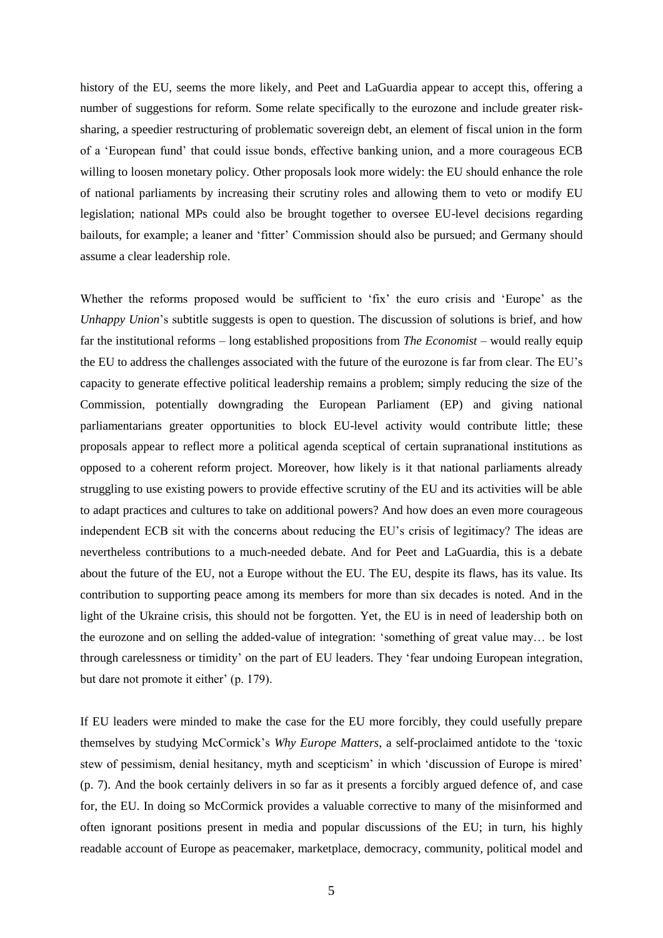history of the EU, seems the more likely, and Peet and LaGuardia appear to accept this, offering a number of suggestions for reform. Some relate specifically to the eurozone and include greater risksharing, a speedier restructuring of problematic sovereign debt, an element of fiscal union in the form of a 'European fund' that could issue bonds, effective banking union, and a more courageous ECB willing to loosen monetary policy. Other proposals look more widely: the EU should enhance the role of national parliaments by increasing their scrutiny roles and allowing them to veto or modify EU legislation; national MPs could also be brought together to oversee EU-level decisions regarding bailouts, for example; a leaner and 'fitter' Commission should also be pursued; and Germany should assume a clear leadership role.

Whether the reforms proposed would be sufficient to 'fix' the euro crisis and 'Europe' as the *Unhappy Union*'s subtitle suggests is open to question. The discussion of solutions is brief, and how far the institutional reforms – long established propositions from *The Economist* – would really equip the EU to address the challenges associated with the future of the eurozone is far from clear. The EU's capacity to generate effective political leadership remains a problem; simply reducing the size of the Commission, potentially downgrading the European Parliament (EP) and giving national parliamentarians greater opportunities to block EU-level activity would contribute little; these proposals appear to reflect more a political agenda sceptical of certain supranational institutions as opposed to a coherent reform project. Moreover, how likely is it that national parliaments already struggling to use existing powers to provide effective scrutiny of the EU and its activities will be able to adapt practices and cultures to take on additional powers? And how does an even more courageous independent ECB sit with the concerns about reducing the EU's crisis of legitimacy? The ideas are nevertheless contributions to a much-needed debate. And for Peet and LaGuardia, this is a debate about the future of the EU, not a Europe without the EU. The EU, despite its flaws, has its value. Its contribution to supporting peace among its members for more than six decades is noted. And in the light of the Ukraine crisis, this should not be forgotten. Yet, the EU is in need of leadership both on the eurozone and on selling the added-value of integration: 'something of great value may… be lost through carelessness or timidity' on the part of EU leaders. They 'fear undoing European integration, but dare not promote it either' (p. 179).

If EU leaders were minded to make the case for the EU more forcibly, they could usefully prepare themselves by studying McCormick's *Why Europe Matters*, a self-proclaimed antidote to the 'toxic stew of pessimism, denial hesitancy, myth and scepticism' in which 'discussion of Europe is mired' (p. 7). And the book certainly delivers in so far as it presents a forcibly argued defence of, and case for, the EU. In doing so McCormick provides a valuable corrective to many of the misinformed and often ignorant positions present in media and popular discussions of the EU; in turn, his highly readable account of Europe as peacemaker, marketplace, democracy, community, political model and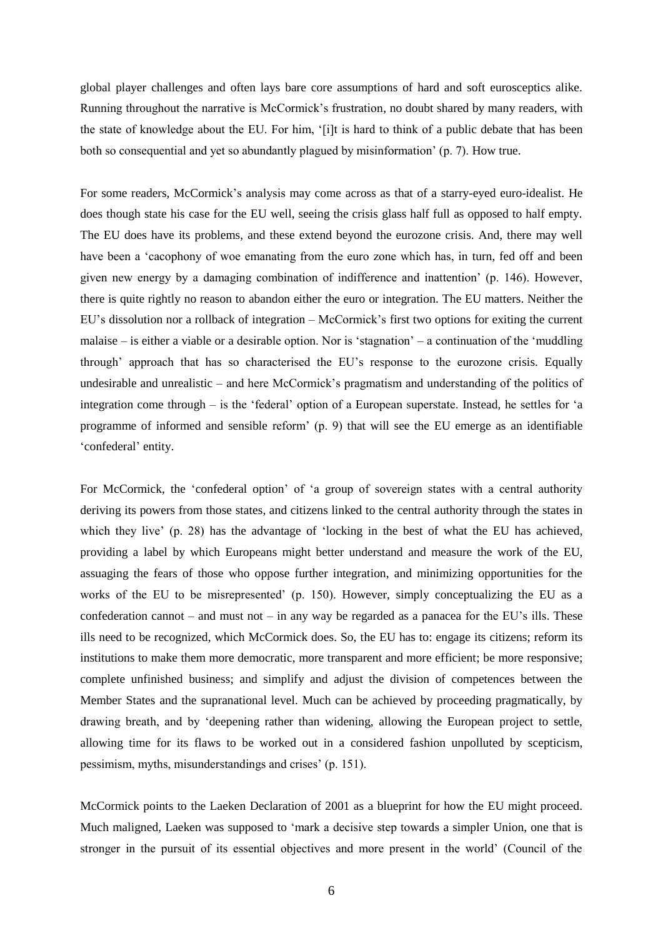global player challenges and often lays bare core assumptions of hard and soft eurosceptics alike. Running throughout the narrative is McCormick's frustration, no doubt shared by many readers, with the state of knowledge about the EU. For him, '[i]t is hard to think of a public debate that has been both so consequential and yet so abundantly plagued by misinformation' (p. 7). How true.

For some readers, McCormick's analysis may come across as that of a starry-eyed euro-idealist. He does though state his case for the EU well, seeing the crisis glass half full as opposed to half empty. The EU does have its problems, and these extend beyond the eurozone crisis. And, there may well have been a 'cacophony of woe emanating from the euro zone which has, in turn, fed off and been given new energy by a damaging combination of indifference and inattention' (p. 146). However, there is quite rightly no reason to abandon either the euro or integration. The EU matters. Neither the EU's dissolution nor a rollback of integration – McCormick's first two options for exiting the current malaise – is either a viable or a desirable option. Nor is 'stagnation' – a continuation of the 'muddling through' approach that has so characterised the EU's response to the eurozone crisis. Equally undesirable and unrealistic – and here McCormick's pragmatism and understanding of the politics of integration come through – is the 'federal' option of a European superstate. Instead, he settles for 'a programme of informed and sensible reform' (p. 9) that will see the EU emerge as an identifiable 'confederal' entity.

For McCormick, the 'confederal option' of 'a group of sovereign states with a central authority deriving its powers from those states, and citizens linked to the central authority through the states in which they live' (p. 28) has the advantage of 'locking in the best of what the EU has achieved, providing a label by which Europeans might better understand and measure the work of the EU, assuaging the fears of those who oppose further integration, and minimizing opportunities for the works of the EU to be misrepresented' (p. 150). However, simply conceptualizing the EU as a confederation cannot – and must not – in any way be regarded as a panacea for the EU's ills. These ills need to be recognized, which McCormick does. So, the EU has to: engage its citizens; reform its institutions to make them more democratic, more transparent and more efficient; be more responsive; complete unfinished business; and simplify and adjust the division of competences between the Member States and the supranational level. Much can be achieved by proceeding pragmatically, by drawing breath, and by 'deepening rather than widening, allowing the European project to settle, allowing time for its flaws to be worked out in a considered fashion unpolluted by scepticism, pessimism, myths, misunderstandings and crises' (p. 151).

McCormick points to the Laeken Declaration of 2001 as a blueprint for how the EU might proceed. Much maligned, Laeken was supposed to 'mark a decisive step towards a simpler Union, one that is stronger in the pursuit of its essential objectives and more present in the world' (Council of the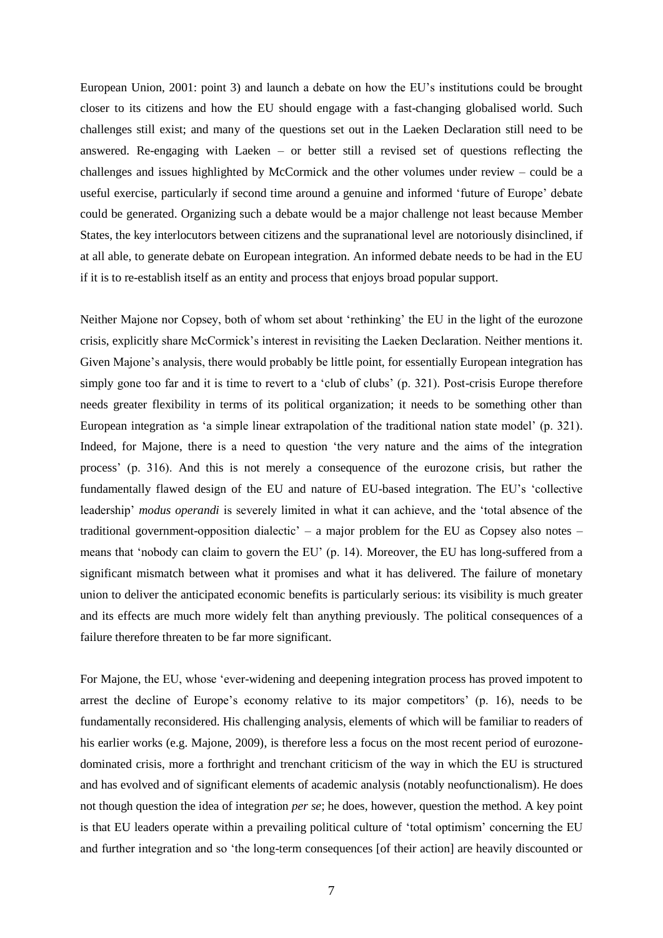European Union, 2001: point 3) and launch a debate on how the EU's institutions could be brought closer to its citizens and how the EU should engage with a fast-changing globalised world. Such challenges still exist; and many of the questions set out in the Laeken Declaration still need to be answered. Re-engaging with Laeken – or better still a revised set of questions reflecting the challenges and issues highlighted by McCormick and the other volumes under review – could be a useful exercise, particularly if second time around a genuine and informed 'future of Europe' debate could be generated. Organizing such a debate would be a major challenge not least because Member States, the key interlocutors between citizens and the supranational level are notoriously disinclined, if at all able, to generate debate on European integration. An informed debate needs to be had in the EU if it is to re-establish itself as an entity and process that enjoys broad popular support.

Neither Majone nor Copsey, both of whom set about 'rethinking' the EU in the light of the eurozone crisis, explicitly share McCormick's interest in revisiting the Laeken Declaration. Neither mentions it. Given Majone's analysis, there would probably be little point, for essentially European integration has simply gone too far and it is time to revert to a 'club of clubs' (p. 321). Post-crisis Europe therefore needs greater flexibility in terms of its political organization; it needs to be something other than European integration as 'a simple linear extrapolation of the traditional nation state model' (p. 321). Indeed, for Majone, there is a need to question 'the very nature and the aims of the integration process' (p. 316). And this is not merely a consequence of the eurozone crisis, but rather the fundamentally flawed design of the EU and nature of EU-based integration. The EU's 'collective leadership' *modus operandi* is severely limited in what it can achieve, and the 'total absence of the traditional government-opposition dialectic' – a major problem for the EU as Copsey also notes – means that 'nobody can claim to govern the EU' (p. 14). Moreover, the EU has long-suffered from a significant mismatch between what it promises and what it has delivered. The failure of monetary union to deliver the anticipated economic benefits is particularly serious: its visibility is much greater and its effects are much more widely felt than anything previously. The political consequences of a failure therefore threaten to be far more significant.

For Majone, the EU, whose 'ever-widening and deepening integration process has proved impotent to arrest the decline of Europe's economy relative to its major competitors' (p. 16), needs to be fundamentally reconsidered. His challenging analysis, elements of which will be familiar to readers of his earlier works (e.g. Majone, 2009), is therefore less a focus on the most recent period of eurozonedominated crisis, more a forthright and trenchant criticism of the way in which the EU is structured and has evolved and of significant elements of academic analysis (notably neofunctionalism). He does not though question the idea of integration *per se*; he does, however, question the method. A key point is that EU leaders operate within a prevailing political culture of 'total optimism' concerning the EU and further integration and so 'the long-term consequences [of their action] are heavily discounted or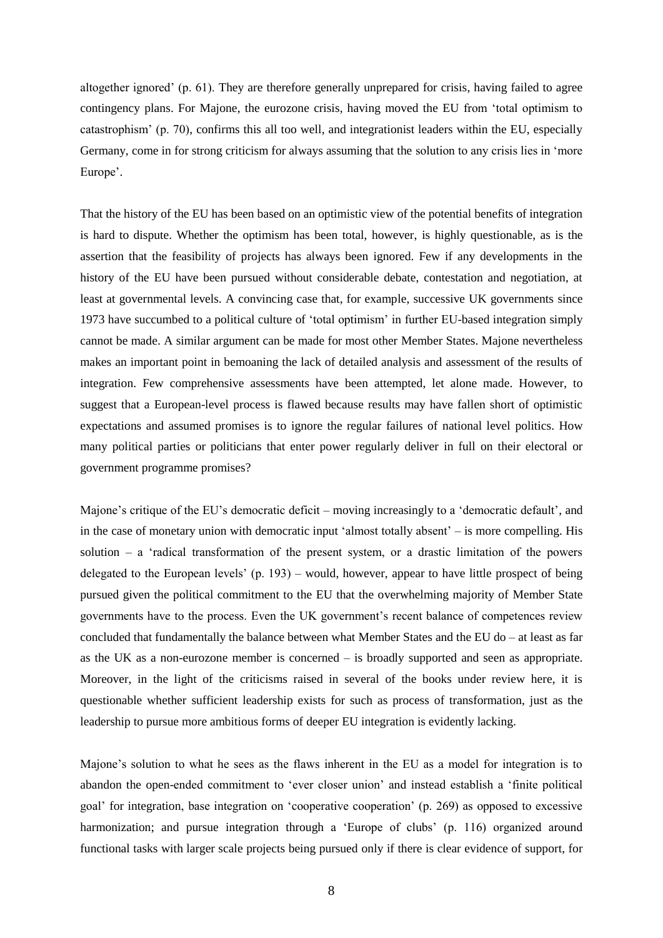altogether ignored' (p. 61). They are therefore generally unprepared for crisis, having failed to agree contingency plans. For Majone, the eurozone crisis, having moved the EU from 'total optimism to catastrophism' (p. 70), confirms this all too well, and integrationist leaders within the EU, especially Germany, come in for strong criticism for always assuming that the solution to any crisis lies in 'more Europe'.

That the history of the EU has been based on an optimistic view of the potential benefits of integration is hard to dispute. Whether the optimism has been total, however, is highly questionable, as is the assertion that the feasibility of projects has always been ignored. Few if any developments in the history of the EU have been pursued without considerable debate, contestation and negotiation, at least at governmental levels. A convincing case that, for example, successive UK governments since 1973 have succumbed to a political culture of 'total optimism' in further EU-based integration simply cannot be made. A similar argument can be made for most other Member States. Majone nevertheless makes an important point in bemoaning the lack of detailed analysis and assessment of the results of integration. Few comprehensive assessments have been attempted, let alone made. However, to suggest that a European-level process is flawed because results may have fallen short of optimistic expectations and assumed promises is to ignore the regular failures of national level politics. How many political parties or politicians that enter power regularly deliver in full on their electoral or government programme promises?

Majone's critique of the EU's democratic deficit – moving increasingly to a 'democratic default', and in the case of monetary union with democratic input 'almost totally absent' – is more compelling. His solution – a 'radical transformation of the present system, or a drastic limitation of the powers delegated to the European levels' (p. 193) – would, however, appear to have little prospect of being pursued given the political commitment to the EU that the overwhelming majority of Member State governments have to the process. Even the UK government's recent balance of competences review concluded that fundamentally the balance between what Member States and the EU do  $-$  at least as far as the UK as a non-eurozone member is concerned – is broadly supported and seen as appropriate. Moreover, in the light of the criticisms raised in several of the books under review here, it is questionable whether sufficient leadership exists for such as process of transformation, just as the leadership to pursue more ambitious forms of deeper EU integration is evidently lacking.

Majone's solution to what he sees as the flaws inherent in the EU as a model for integration is to abandon the open-ended commitment to 'ever closer union' and instead establish a 'finite political goal' for integration, base integration on 'cooperative cooperation' (p. 269) as opposed to excessive harmonization; and pursue integration through a 'Europe of clubs' (p. 116) organized around functional tasks with larger scale projects being pursued only if there is clear evidence of support, for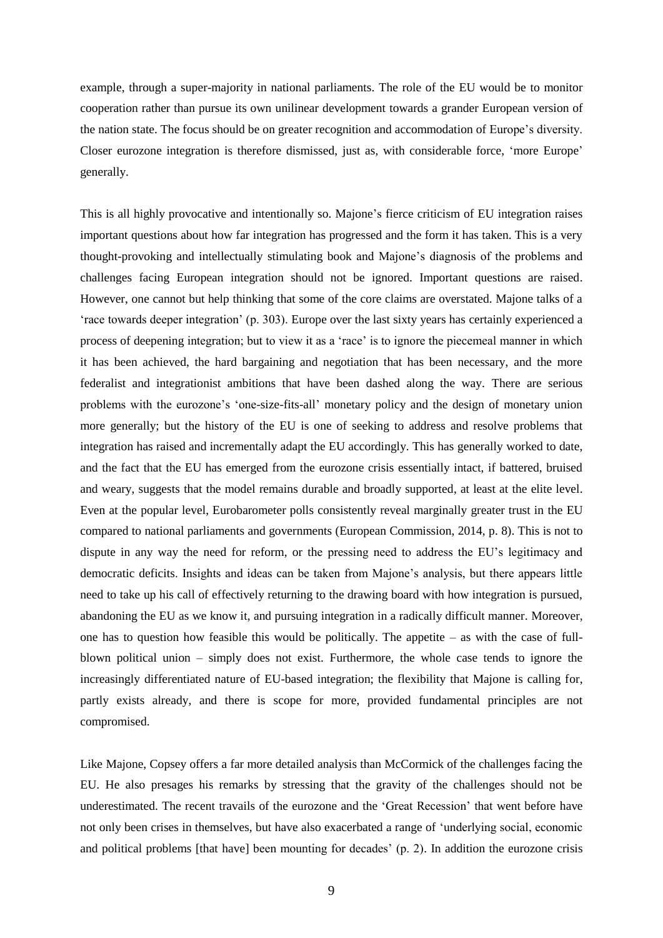example, through a super-majority in national parliaments. The role of the EU would be to monitor cooperation rather than pursue its own unilinear development towards a grander European version of the nation state. The focus should be on greater recognition and accommodation of Europe's diversity. Closer eurozone integration is therefore dismissed, just as, with considerable force, 'more Europe' generally.

This is all highly provocative and intentionally so. Majone's fierce criticism of EU integration raises important questions about how far integration has progressed and the form it has taken. This is a very thought-provoking and intellectually stimulating book and Majone's diagnosis of the problems and challenges facing European integration should not be ignored. Important questions are raised. However, one cannot but help thinking that some of the core claims are overstated. Majone talks of a 'race towards deeper integration' (p. 303). Europe over the last sixty years has certainly experienced a process of deepening integration; but to view it as a 'race' is to ignore the piecemeal manner in which it has been achieved, the hard bargaining and negotiation that has been necessary, and the more federalist and integrationist ambitions that have been dashed along the way. There are serious problems with the eurozone's 'one-size-fits-all' monetary policy and the design of monetary union more generally; but the history of the EU is one of seeking to address and resolve problems that integration has raised and incrementally adapt the EU accordingly. This has generally worked to date, and the fact that the EU has emerged from the eurozone crisis essentially intact, if battered, bruised and weary, suggests that the model remains durable and broadly supported, at least at the elite level. Even at the popular level, Eurobarometer polls consistently reveal marginally greater trust in the EU compared to national parliaments and governments (European Commission, 2014, p. 8). This is not to dispute in any way the need for reform, or the pressing need to address the EU's legitimacy and democratic deficits. Insights and ideas can be taken from Majone's analysis, but there appears little need to take up his call of effectively returning to the drawing board with how integration is pursued, abandoning the EU as we know it, and pursuing integration in a radically difficult manner. Moreover, one has to question how feasible this would be politically. The appetite  $-$  as with the case of fullblown political union – simply does not exist. Furthermore, the whole case tends to ignore the increasingly differentiated nature of EU-based integration; the flexibility that Majone is calling for, partly exists already, and there is scope for more, provided fundamental principles are not compromised.

Like Majone, Copsey offers a far more detailed analysis than McCormick of the challenges facing the EU. He also presages his remarks by stressing that the gravity of the challenges should not be underestimated. The recent travails of the eurozone and the 'Great Recession' that went before have not only been crises in themselves, but have also exacerbated a range of 'underlying social, economic and political problems [that have] been mounting for decades' (p. 2). In addition the eurozone crisis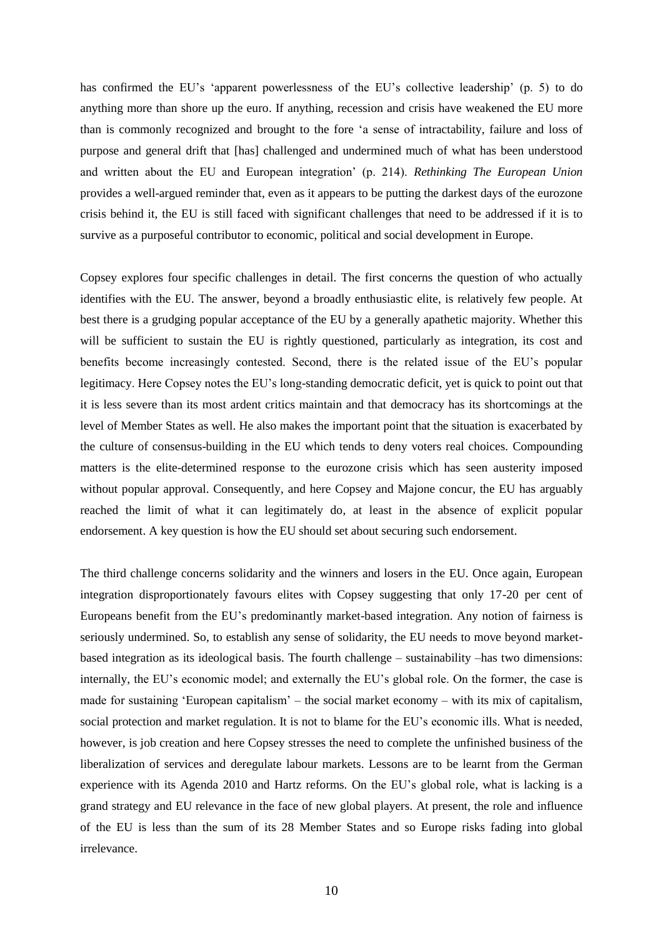has confirmed the EU's 'apparent powerlessness of the EU's collective leadership' (p. 5) to do anything more than shore up the euro. If anything, recession and crisis have weakened the EU more than is commonly recognized and brought to the fore 'a sense of intractability, failure and loss of purpose and general drift that [has] challenged and undermined much of what has been understood and written about the EU and European integration' (p. 214). *Rethinking The European Union* provides a well-argued reminder that, even as it appears to be putting the darkest days of the eurozone crisis behind it, the EU is still faced with significant challenges that need to be addressed if it is to survive as a purposeful contributor to economic, political and social development in Europe.

Copsey explores four specific challenges in detail. The first concerns the question of who actually identifies with the EU. The answer, beyond a broadly enthusiastic elite, is relatively few people. At best there is a grudging popular acceptance of the EU by a generally apathetic majority. Whether this will be sufficient to sustain the EU is rightly questioned, particularly as integration, its cost and benefits become increasingly contested. Second, there is the related issue of the EU's popular legitimacy. Here Copsey notes the EU's long-standing democratic deficit, yet is quick to point out that it is less severe than its most ardent critics maintain and that democracy has its shortcomings at the level of Member States as well. He also makes the important point that the situation is exacerbated by the culture of consensus-building in the EU which tends to deny voters real choices. Compounding matters is the elite-determined response to the eurozone crisis which has seen austerity imposed without popular approval. Consequently, and here Copsey and Majone concur, the EU has arguably reached the limit of what it can legitimately do, at least in the absence of explicit popular endorsement. A key question is how the EU should set about securing such endorsement.

The third challenge concerns solidarity and the winners and losers in the EU. Once again, European integration disproportionately favours elites with Copsey suggesting that only 17-20 per cent of Europeans benefit from the EU's predominantly market-based integration. Any notion of fairness is seriously undermined. So, to establish any sense of solidarity, the EU needs to move beyond marketbased integration as its ideological basis. The fourth challenge – sustainability –has two dimensions: internally, the EU's economic model; and externally the EU's global role. On the former, the case is made for sustaining 'European capitalism' – the social market economy – with its mix of capitalism, social protection and market regulation. It is not to blame for the EU's economic ills. What is needed, however, is job creation and here Copsey stresses the need to complete the unfinished business of the liberalization of services and deregulate labour markets. Lessons are to be learnt from the German experience with its Agenda 2010 and Hartz reforms. On the EU's global role, what is lacking is a grand strategy and EU relevance in the face of new global players. At present, the role and influence of the EU is less than the sum of its 28 Member States and so Europe risks fading into global irrelevance.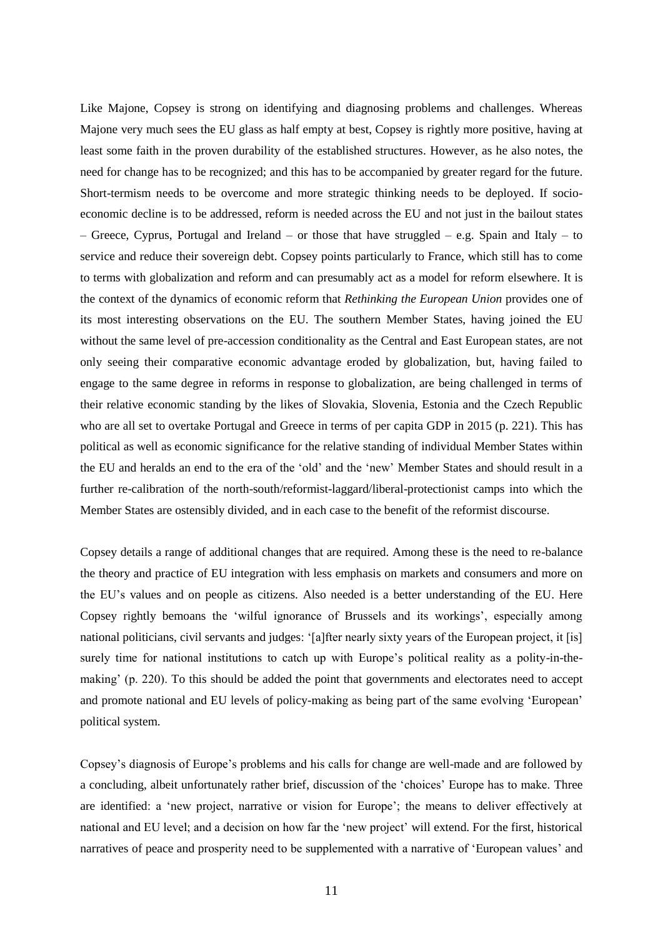Like Majone, Copsey is strong on identifying and diagnosing problems and challenges. Whereas Majone very much sees the EU glass as half empty at best, Copsey is rightly more positive, having at least some faith in the proven durability of the established structures. However, as he also notes, the need for change has to be recognized; and this has to be accompanied by greater regard for the future. Short-termism needs to be overcome and more strategic thinking needs to be deployed. If socioeconomic decline is to be addressed, reform is needed across the EU and not just in the bailout states – Greece, Cyprus, Portugal and Ireland – or those that have struggled – e.g. Spain and Italy – to service and reduce their sovereign debt. Copsey points particularly to France, which still has to come to terms with globalization and reform and can presumably act as a model for reform elsewhere. It is the context of the dynamics of economic reform that *Rethinking the European Union* provides one of its most interesting observations on the EU. The southern Member States, having joined the EU without the same level of pre-accession conditionality as the Central and East European states, are not only seeing their comparative economic advantage eroded by globalization, but, having failed to engage to the same degree in reforms in response to globalization, are being challenged in terms of their relative economic standing by the likes of Slovakia, Slovenia, Estonia and the Czech Republic who are all set to overtake Portugal and Greece in terms of per capita GDP in 2015 (p. 221). This has political as well as economic significance for the relative standing of individual Member States within the EU and heralds an end to the era of the 'old' and the 'new' Member States and should result in a further re-calibration of the north-south/reformist-laggard/liberal-protectionist camps into which the Member States are ostensibly divided, and in each case to the benefit of the reformist discourse.

Copsey details a range of additional changes that are required. Among these is the need to re-balance the theory and practice of EU integration with less emphasis on markets and consumers and more on the EU's values and on people as citizens. Also needed is a better understanding of the EU. Here Copsey rightly bemoans the 'wilful ignorance of Brussels and its workings', especially among national politicians, civil servants and judges: '[a]fter nearly sixty years of the European project, it [is] surely time for national institutions to catch up with Europe's political reality as a polity-in-themaking' (p. 220). To this should be added the point that governments and electorates need to accept and promote national and EU levels of policy-making as being part of the same evolving 'European' political system.

Copsey's diagnosis of Europe's problems and his calls for change are well-made and are followed by a concluding, albeit unfortunately rather brief, discussion of the 'choices' Europe has to make. Three are identified: a 'new project, narrative or vision for Europe'; the means to deliver effectively at national and EU level; and a decision on how far the 'new project' will extend. For the first, historical narratives of peace and prosperity need to be supplemented with a narrative of 'European values' and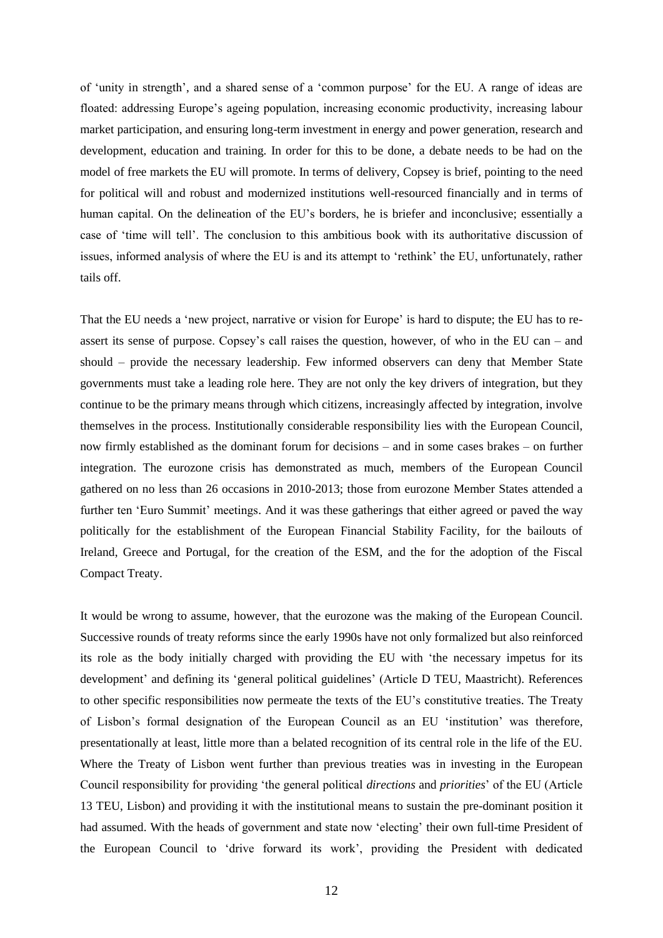of 'unity in strength', and a shared sense of a 'common purpose' for the EU. A range of ideas are floated: addressing Europe's ageing population, increasing economic productivity, increasing labour market participation, and ensuring long-term investment in energy and power generation, research and development, education and training. In order for this to be done, a debate needs to be had on the model of free markets the EU will promote. In terms of delivery, Copsey is brief, pointing to the need for political will and robust and modernized institutions well-resourced financially and in terms of human capital. On the delineation of the EU's borders, he is briefer and inconclusive; essentially a case of 'time will tell'. The conclusion to this ambitious book with its authoritative discussion of issues, informed analysis of where the EU is and its attempt to 'rethink' the EU, unfortunately, rather tails off.

That the EU needs a 'new project, narrative or vision for Europe' is hard to dispute; the EU has to reassert its sense of purpose. Copsey's call raises the question, however, of who in the EU can – and should – provide the necessary leadership. Few informed observers can deny that Member State governments must take a leading role here. They are not only the key drivers of integration, but they continue to be the primary means through which citizens, increasingly affected by integration, involve themselves in the process. Institutionally considerable responsibility lies with the European Council, now firmly established as the dominant forum for decisions – and in some cases brakes – on further integration. The eurozone crisis has demonstrated as much, members of the European Council gathered on no less than 26 occasions in 2010-2013; those from eurozone Member States attended a further ten 'Euro Summit' meetings. And it was these gatherings that either agreed or paved the way politically for the establishment of the European Financial Stability Facility, for the bailouts of Ireland, Greece and Portugal, for the creation of the ESM, and the for the adoption of the Fiscal Compact Treaty.

It would be wrong to assume, however, that the eurozone was the making of the European Council. Successive rounds of treaty reforms since the early 1990s have not only formalized but also reinforced its role as the body initially charged with providing the EU with 'the necessary impetus for its development' and defining its 'general political guidelines' (Article D TEU, Maastricht). References to other specific responsibilities now permeate the texts of the EU's constitutive treaties. The Treaty of Lisbon's formal designation of the European Council as an EU 'institution' was therefore, presentationally at least, little more than a belated recognition of its central role in the life of the EU. Where the Treaty of Lisbon went further than previous treaties was in investing in the European Council responsibility for providing 'the general political *directions* and *priorities*' of the EU (Article 13 TEU, Lisbon) and providing it with the institutional means to sustain the pre-dominant position it had assumed. With the heads of government and state now 'electing' their own full-time President of the European Council to 'drive forward its work', providing the President with dedicated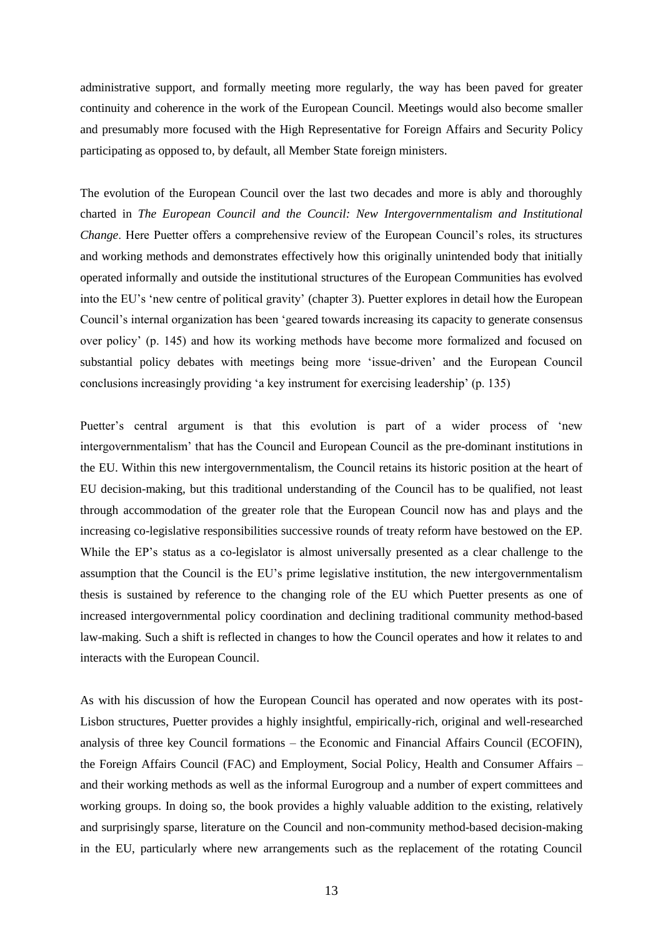administrative support, and formally meeting more regularly, the way has been paved for greater continuity and coherence in the work of the European Council. Meetings would also become smaller and presumably more focused with the High Representative for Foreign Affairs and Security Policy participating as opposed to, by default, all Member State foreign ministers.

The evolution of the European Council over the last two decades and more is ably and thoroughly charted in *The European Council and the Council: New Intergovernmentalism and Institutional Change*. Here Puetter offers a comprehensive review of the European Council's roles, its structures and working methods and demonstrates effectively how this originally unintended body that initially operated informally and outside the institutional structures of the European Communities has evolved into the EU's 'new centre of political gravity' (chapter 3). Puetter explores in detail how the European Council's internal organization has been 'geared towards increasing its capacity to generate consensus over policy' (p. 145) and how its working methods have become more formalized and focused on substantial policy debates with meetings being more 'issue-driven' and the European Council conclusions increasingly providing 'a key instrument for exercising leadership' (p. 135)

Puetter's central argument is that this evolution is part of a wider process of 'new intergovernmentalism' that has the Council and European Council as the pre-dominant institutions in the EU. Within this new intergovernmentalism, the Council retains its historic position at the heart of EU decision-making, but this traditional understanding of the Council has to be qualified, not least through accommodation of the greater role that the European Council now has and plays and the increasing co-legislative responsibilities successive rounds of treaty reform have bestowed on the EP. While the EP's status as a co-legislator is almost universally presented as a clear challenge to the assumption that the Council is the EU's prime legislative institution, the new intergovernmentalism thesis is sustained by reference to the changing role of the EU which Puetter presents as one of increased intergovernmental policy coordination and declining traditional community method-based law-making. Such a shift is reflected in changes to how the Council operates and how it relates to and interacts with the European Council.

As with his discussion of how the European Council has operated and now operates with its post-Lisbon structures, Puetter provides a highly insightful, empirically-rich, original and well-researched analysis of three key Council formations – the Economic and Financial Affairs Council (ECOFIN), the Foreign Affairs Council (FAC) and Employment, Social Policy, Health and Consumer Affairs – and their working methods as well as the informal Eurogroup and a number of expert committees and working groups. In doing so, the book provides a highly valuable addition to the existing, relatively and surprisingly sparse, literature on the Council and non-community method-based decision-making in the EU, particularly where new arrangements such as the replacement of the rotating Council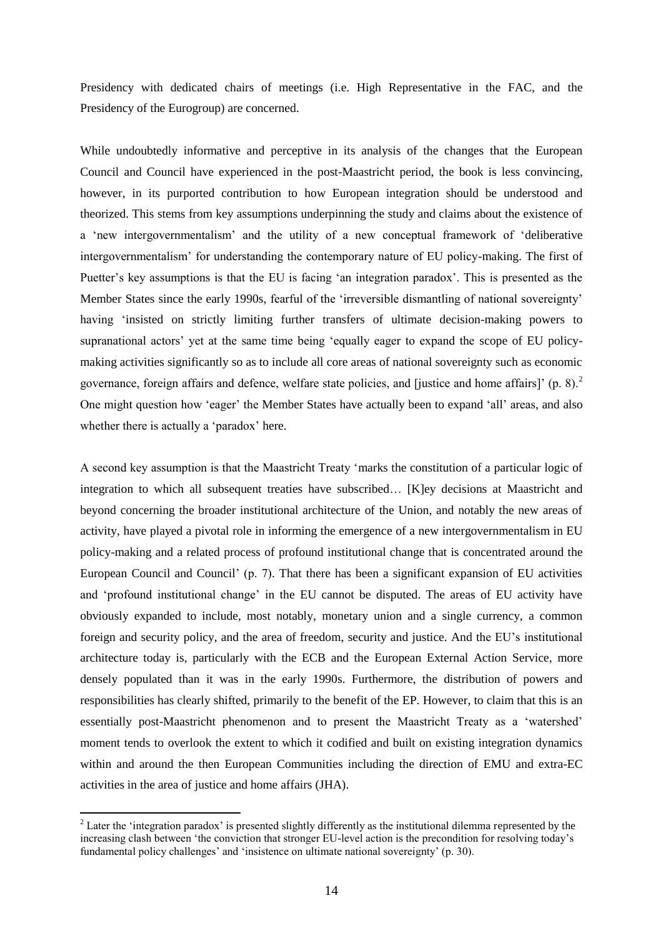Presidency with dedicated chairs of meetings (i.e. High Representative in the FAC, and the Presidency of the Eurogroup) are concerned.

While undoubtedly informative and perceptive in its analysis of the changes that the European Council and Council have experienced in the post-Maastricht period, the book is less convincing, however, in its purported contribution to how European integration should be understood and theorized. This stems from key assumptions underpinning the study and claims about the existence of a 'new intergovernmentalism' and the utility of a new conceptual framework of 'deliberative intergovernmentalism' for understanding the contemporary nature of EU policy-making. The first of Puetter's key assumptions is that the EU is facing 'an integration paradox'. This is presented as the Member States since the early 1990s, fearful of the 'irreversible dismantling of national sovereignty' having 'insisted on strictly limiting further transfers of ultimate decision-making powers to supranational actors' yet at the same time being 'equally eager to expand the scope of EU policymaking activities significantly so as to include all core areas of national sovereignty such as economic governance, foreign affairs and defence, welfare state policies, and [justice and home affairs]' (p. 8). $^{2}$ One might question how 'eager' the Member States have actually been to expand 'all' areas, and also whether there is actually a 'paradox' here.

A second key assumption is that the Maastricht Treaty 'marks the constitution of a particular logic of integration to which all subsequent treaties have subscribed… [K]ey decisions at Maastricht and beyond concerning the broader institutional architecture of the Union, and notably the new areas of activity, have played a pivotal role in informing the emergence of a new intergovernmentalism in EU policy-making and a related process of profound institutional change that is concentrated around the European Council and Council' (p. 7). That there has been a significant expansion of EU activities and 'profound institutional change' in the EU cannot be disputed. The areas of EU activity have obviously expanded to include, most notably, monetary union and a single currency, a common foreign and security policy, and the area of freedom, security and justice. And the EU's institutional architecture today is, particularly with the ECB and the European External Action Service, more densely populated than it was in the early 1990s. Furthermore, the distribution of powers and responsibilities has clearly shifted, primarily to the benefit of the EP. However, to claim that this is an essentially post-Maastricht phenomenon and to present the Maastricht Treaty as a 'watershed' moment tends to overlook the extent to which it codified and built on existing integration dynamics within and around the then European Communities including the direction of EMU and extra-EC activities in the area of justice and home affairs (JHA).

1

<sup>&</sup>lt;sup>2</sup> Later the 'integration paradox' is presented slightly differently as the institutional dilemma represented by the increasing clash between 'the conviction that stronger EU-level action is the precondition for resolving today's fundamental policy challenges' and 'insistence on ultimate national sovereignty' (p. 30).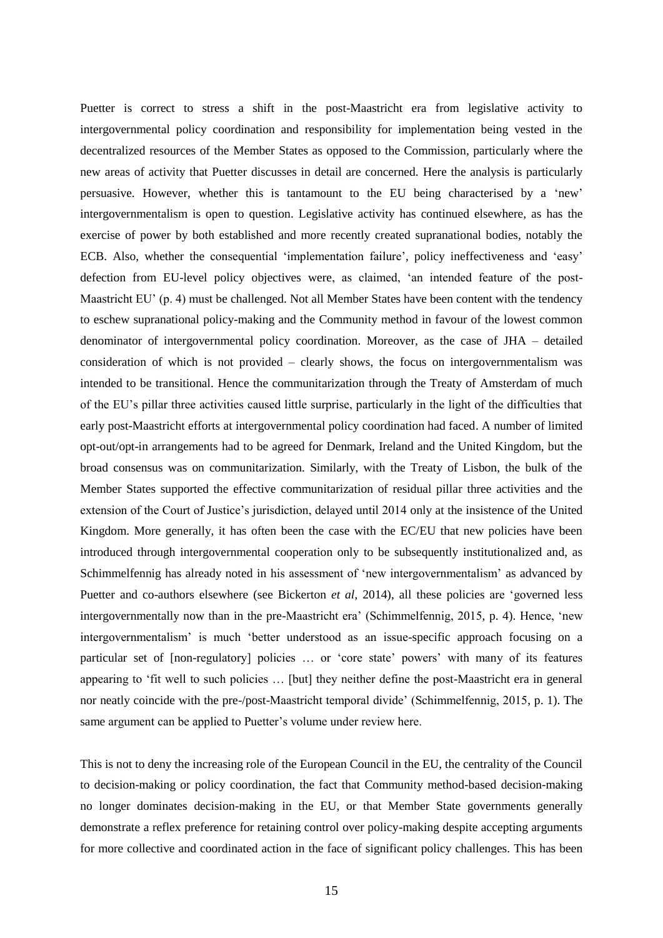Puetter is correct to stress a shift in the post-Maastricht era from legislative activity to intergovernmental policy coordination and responsibility for implementation being vested in the decentralized resources of the Member States as opposed to the Commission, particularly where the new areas of activity that Puetter discusses in detail are concerned. Here the analysis is particularly persuasive. However, whether this is tantamount to the EU being characterised by a 'new' intergovernmentalism is open to question. Legislative activity has continued elsewhere, as has the exercise of power by both established and more recently created supranational bodies, notably the ECB. Also, whether the consequential 'implementation failure', policy ineffectiveness and 'easy' defection from EU-level policy objectives were, as claimed, 'an intended feature of the post-Maastricht EU' (p. 4) must be challenged. Not all Member States have been content with the tendency to eschew supranational policy-making and the Community method in favour of the lowest common denominator of intergovernmental policy coordination. Moreover, as the case of JHA – detailed consideration of which is not provided – clearly shows, the focus on intergovernmentalism was intended to be transitional. Hence the communitarization through the Treaty of Amsterdam of much of the EU's pillar three activities caused little surprise, particularly in the light of the difficulties that early post-Maastricht efforts at intergovernmental policy coordination had faced. A number of limited opt-out/opt-in arrangements had to be agreed for Denmark, Ireland and the United Kingdom, but the broad consensus was on communitarization. Similarly, with the Treaty of Lisbon, the bulk of the Member States supported the effective communitarization of residual pillar three activities and the extension of the Court of Justice's jurisdiction, delayed until 2014 only at the insistence of the United Kingdom. More generally, it has often been the case with the EC/EU that new policies have been introduced through intergovernmental cooperation only to be subsequently institutionalized and, as Schimmelfennig has already noted in his assessment of 'new intergovernmentalism' as advanced by Puetter and co-authors elsewhere (see Bickerton *et al*, 2014), all these policies are 'governed less intergovernmentally now than in the pre-Maastricht era' (Schimmelfennig, 2015, p. 4). Hence, 'new intergovernmentalism' is much 'better understood as an issue-specific approach focusing on a particular set of [non-regulatory] policies … or 'core state' powers' with many of its features appearing to 'fit well to such policies … [but] they neither define the post-Maastricht era in general nor neatly coincide with the pre-/post-Maastricht temporal divide' (Schimmelfennig, 2015, p. 1). The same argument can be applied to Puetter's volume under review here.

This is not to deny the increasing role of the European Council in the EU, the centrality of the Council to decision-making or policy coordination, the fact that Community method-based decision-making no longer dominates decision-making in the EU, or that Member State governments generally demonstrate a reflex preference for retaining control over policy-making despite accepting arguments for more collective and coordinated action in the face of significant policy challenges. This has been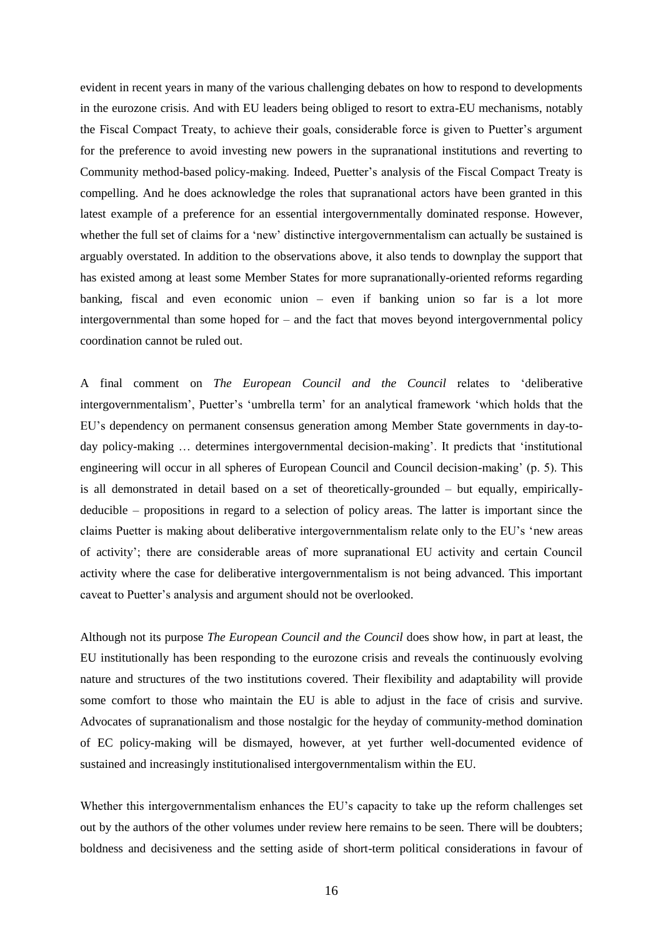evident in recent years in many of the various challenging debates on how to respond to developments in the eurozone crisis. And with EU leaders being obliged to resort to extra-EU mechanisms, notably the Fiscal Compact Treaty, to achieve their goals, considerable force is given to Puetter's argument for the preference to avoid investing new powers in the supranational institutions and reverting to Community method-based policy-making. Indeed, Puetter's analysis of the Fiscal Compact Treaty is compelling. And he does acknowledge the roles that supranational actors have been granted in this latest example of a preference for an essential intergovernmentally dominated response. However, whether the full set of claims for a 'new' distinctive intergovernmentalism can actually be sustained is arguably overstated. In addition to the observations above, it also tends to downplay the support that has existed among at least some Member States for more supranationally-oriented reforms regarding banking, fiscal and even economic union – even if banking union so far is a lot more intergovernmental than some hoped for – and the fact that moves beyond intergovernmental policy coordination cannot be ruled out.

A final comment on *The European Council and the Council* relates to 'deliberative intergovernmentalism', Puetter's 'umbrella term' for an analytical framework 'which holds that the EU's dependency on permanent consensus generation among Member State governments in day-today policy-making … determines intergovernmental decision-making'. It predicts that 'institutional engineering will occur in all spheres of European Council and Council decision-making' (p. 5). This is all demonstrated in detail based on a set of theoretically-grounded – but equally, empiricallydeducible – propositions in regard to a selection of policy areas. The latter is important since the claims Puetter is making about deliberative intergovernmentalism relate only to the EU's 'new areas of activity'; there are considerable areas of more supranational EU activity and certain Council activity where the case for deliberative intergovernmentalism is not being advanced. This important caveat to Puetter's analysis and argument should not be overlooked.

Although not its purpose *The European Council and the Council* does show how, in part at least, the EU institutionally has been responding to the eurozone crisis and reveals the continuously evolving nature and structures of the two institutions covered. Their flexibility and adaptability will provide some comfort to those who maintain the EU is able to adjust in the face of crisis and survive. Advocates of supranationalism and those nostalgic for the heyday of community-method domination of EC policy-making will be dismayed, however, at yet further well-documented evidence of sustained and increasingly institutionalised intergovernmentalism within the EU.

Whether this intergovernmentalism enhances the EU's capacity to take up the reform challenges set out by the authors of the other volumes under review here remains to be seen. There will be doubters; boldness and decisiveness and the setting aside of short-term political considerations in favour of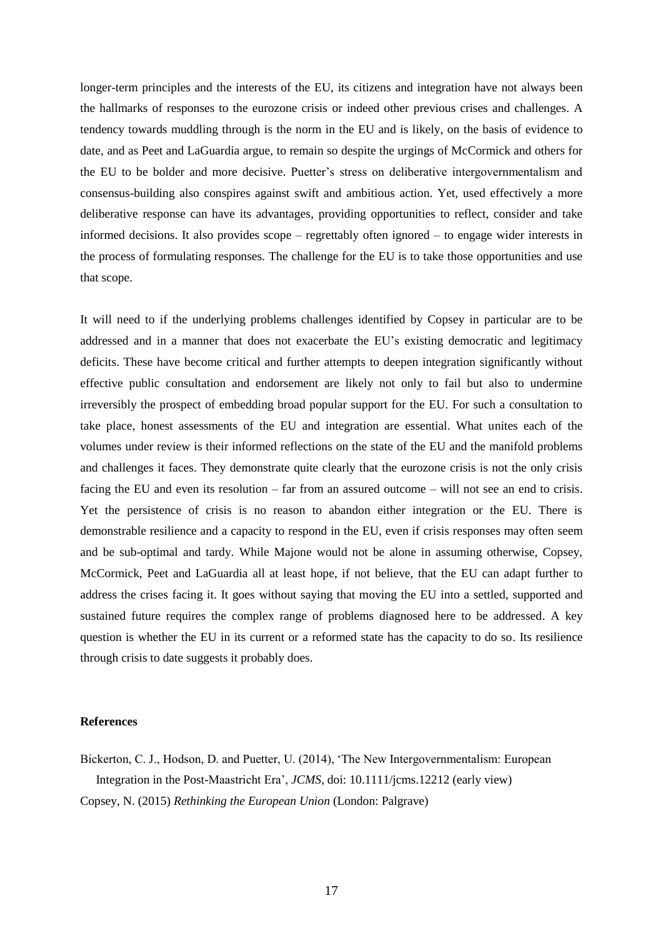longer-term principles and the interests of the EU, its citizens and integration have not always been the hallmarks of responses to the eurozone crisis or indeed other previous crises and challenges. A tendency towards muddling through is the norm in the EU and is likely, on the basis of evidence to date, and as Peet and LaGuardia argue, to remain so despite the urgings of McCormick and others for the EU to be bolder and more decisive. Puetter's stress on deliberative intergovernmentalism and consensus-building also conspires against swift and ambitious action. Yet, used effectively a more deliberative response can have its advantages, providing opportunities to reflect, consider and take informed decisions. It also provides scope – regrettably often ignored – to engage wider interests in the process of formulating responses. The challenge for the EU is to take those opportunities and use that scope.

It will need to if the underlying problems challenges identified by Copsey in particular are to be addressed and in a manner that does not exacerbate the EU's existing democratic and legitimacy deficits. These have become critical and further attempts to deepen integration significantly without effective public consultation and endorsement are likely not only to fail but also to undermine irreversibly the prospect of embedding broad popular support for the EU. For such a consultation to take place, honest assessments of the EU and integration are essential. What unites each of the volumes under review is their informed reflections on the state of the EU and the manifold problems and challenges it faces. They demonstrate quite clearly that the eurozone crisis is not the only crisis facing the EU and even its resolution – far from an assured outcome – will not see an end to crisis. Yet the persistence of crisis is no reason to abandon either integration or the EU. There is demonstrable resilience and a capacity to respond in the EU, even if crisis responses may often seem and be sub-optimal and tardy. While Majone would not be alone in assuming otherwise, Copsey, McCormick, Peet and LaGuardia all at least hope, if not believe, that the EU can adapt further to address the crises facing it. It goes without saying that moving the EU into a settled, supported and sustained future requires the complex range of problems diagnosed here to be addressed. A key question is whether the EU in its current or a reformed state has the capacity to do so. Its resilience through crisis to date suggests it probably does.

### **References**

Bickerton, C. J., Hodson, D. and Puetter, U. (2014), 'The New Intergovernmentalism: European Integration in the Post-Maastricht Era', *JCMS*, doi: 10.1111/jcms.12212 (early view) Copsey, N. (2015) *Rethinking the European Union* (London: Palgrave)